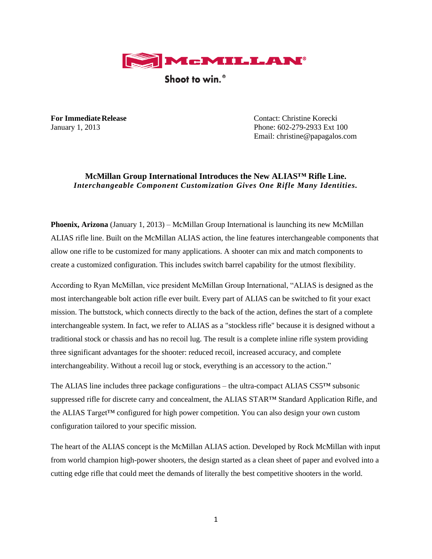

Shoot to win.<sup>®</sup>

**For ImmediateRelease** Contact: Christine Korecki January 1, 2013 Phone: 602-279-2933 Ext 100 Email: christine@papagalos.com

## **McMillan Group International Introduces the New ALIAS™ Rifle Line.** *Interchangeable Component Customization Gives One Rifle Many Identities.*

**Phoenix, Arizona** (January 1, 2013) – McMillan Group International is launching its new McMillan ALIAS rifle line. Built on the McMillan ALIAS action, the line features interchangeable components that allow one rifle to be customized for many applications. A shooter can mix and match components to create a customized configuration. This includes switch barrel capability for the utmost flexibility.

According to Ryan McMillan, vice president McMillan Group International, "ALIAS is designed as the most interchangeable bolt action rifle ever built. Every part of ALIAS can be switched to fit your exact mission. The buttstock, which connects directly to the back of the action, defines the start of a complete interchangeable system. In fact, we refer to ALIAS as a "stockless rifle" because it is designed without a traditional stock or chassis and has no recoil lug. The result is a complete inline rifle system providing three significant advantages for the shooter: reduced recoil, increased accuracy, and complete interchangeability. Without a recoil lug or stock, everything is an accessory to the action."

The ALIAS line includes three package configurations – the ultra-compact ALIAS CS5™ subsonic suppressed rifle for discrete carry and concealment, the ALIAS STAR™ Standard Application Rifle, and the ALIAS Target™ configured for high power competition. You can also design your own custom configuration tailored to your specific mission.

The heart of the ALIAS concept is the McMillan ALIAS action. Developed by Rock McMillan with input from world champion high-power shooters, the design started as a clean sheet of paper and evolved into a cutting edge rifle that could meet the demands of literally the best competitive shooters in the world.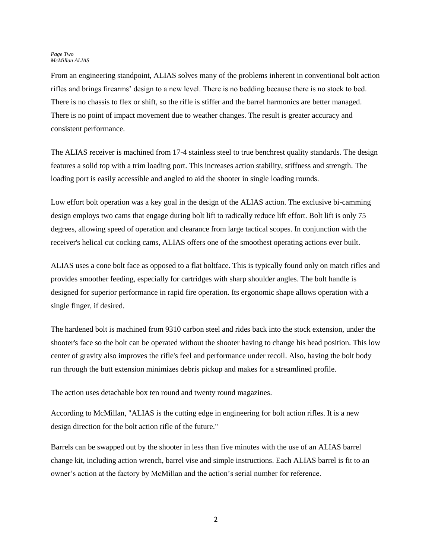From an engineering standpoint, ALIAS solves many of the problems inherent in conventional bolt action rifles and brings firearms' design to a new level. There is no bedding because there is no stock to bed. There is no chassis to flex or shift, so the rifle is stiffer and the barrel harmonics are better managed. There is no point of impact movement due to weather changes. The result is greater accuracy and consistent performance.

The ALIAS receiver is machined from 17-4 stainless steel to true benchrest quality standards. The design features a solid top with a trim loading port. This increases action stability, stiffness and strength. The loading port is easily accessible and angled to aid the shooter in single loading rounds.

Low effort bolt operation was a key goal in the design of the ALIAS action. The exclusive bi-camming design employs two cams that engage during bolt lift to radically reduce lift effort. Bolt lift is only 75 degrees, allowing speed of operation and clearance from large tactical scopes. In conjunction with the receiver's helical cut cocking cams, ALIAS offers one of the smoothest operating actions ever built.

ALIAS uses a cone bolt face as opposed to a flat boltface. This is typically found only on match rifles and provides smoother feeding, especially for cartridges with sharp shoulder angles. The bolt handle is designed for superior performance in rapid fire operation. Its ergonomic shape allows operation with a single finger, if desired.

The hardened bolt is machined from 9310 carbon steel and rides back into the stock extension, under the shooter's face so the bolt can be operated without the shooter having to change his head position. This low center of gravity also improves the rifle's feel and performance under recoil. Also, having the bolt body run through the butt extension minimizes debris pickup and makes for a streamlined profile.

The action uses detachable box ten round and twenty round magazines.

According to McMillan, "ALIAS is the cutting edge in engineering for bolt action rifles. It is a new design direction for the bolt action rifle of the future."

Barrels can be swapped out by the shooter in less than five minutes with the use of an ALIAS barrel change kit, including action wrench, barrel vise and simple instructions. Each ALIAS barrel is fit to an owner's action at the factory by McMillan and the action's serial number for reference.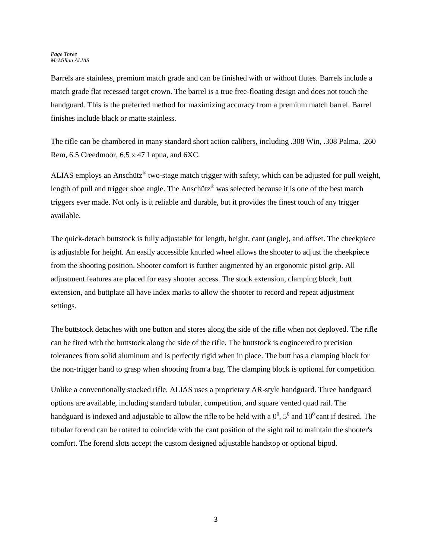Barrels are stainless, premium match grade and can be finished with or without flutes. Barrels include a match grade flat recessed target crown. The barrel is a true free-floating design and does not touch the handguard. This is the preferred method for maximizing accuracy from a premium match barrel. Barrel finishes include black or matte stainless.

The rifle can be chambered in many standard short action calibers, including .308 Win, .308 Palma, .260 Rem, 6.5 Creedmoor, 6.5 x 47 Lapua, and 6XC.

ALIAS employs an Anschütz<sup>®</sup> two-stage match trigger with safety, which can be adjusted for pull weight, length of pull and trigger shoe angle. The Anschütz<sup>®</sup> was selected because it is one of the best match triggers ever made. Not only is it reliable and durable, but it provides the finest touch of any trigger available.

The quick-detach buttstock is fully adjustable for length, height, cant (angle), and offset. The cheekpiece is adjustable for height. An easily accessible knurled wheel allows the shooter to adjust the cheekpiece from the shooting position. Shooter comfort is further augmented by an ergonomic pistol grip. All adjustment features are placed for easy shooter access. The stock extension, clamping block, butt extension, and buttplate all have index marks to allow the shooter to record and repeat adjustment settings.

The buttstock detaches with one button and stores along the side of the rifle when not deployed. The rifle can be fired with the buttstock along the side of the rifle. The buttstock is engineered to precision tolerances from solid aluminum and is perfectly rigid when in place. The butt has a clamping block for the non-trigger hand to grasp when shooting from a bag. The clamping block is optional for competition.

Unlike a conventionally stocked rifle, ALIAS uses a proprietary AR-style handguard. Three handguard options are available, including standard tubular, competition, and square vented quad rail. The handguard is indexed and adjustable to allow the rifle to be held with a  $0^0$ ,  $5^0$  and  $10^0$  cant if desired. The tubular forend can be rotated to coincide with the cant position of the sight rail to maintain the shooter's comfort. The forend slots accept the custom designed adjustable handstop or optional bipod.

3